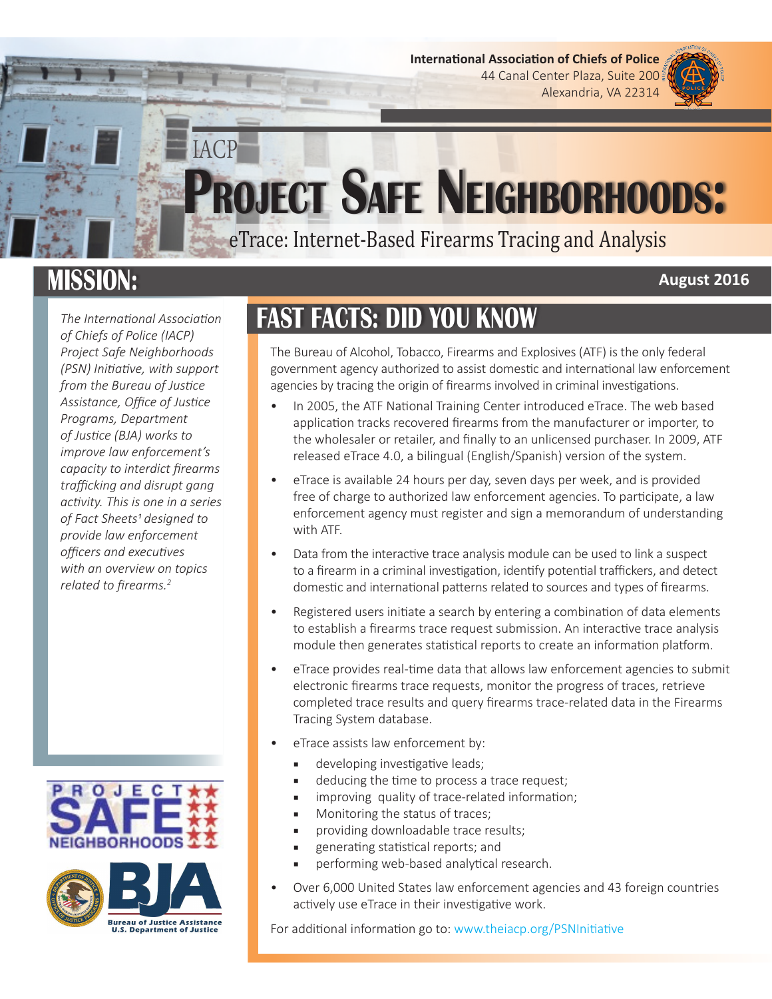**International Association of Chiefs of Police**  44 Canal Center Plaza, Suite 200 Alexandria, VA 22314

**August 2016** 

# **Project Safe Neighborhoods:** IACP

eTrace: Internet-Based Firearms Tracing and Analysis

## **MISSION:**

*The International Association of Chiefs of Police (IACP) Project Safe Neighborhoods (PSN) Initiative, with support from the Bureau of Justice Assistance, Office of Justice Programs, Department of Justice (BJA) works to improve law enforcement's capacity to interdict firearms trafficking and disrupt gang activity. This is one in a series of Fact Sheets1 designed to provide law enforcement officers and executives with an overview on topics related to firearms.2*





## **FAST FACTS: DID YOU KNOW**

The Bureau of Alcohol, Tobacco, Firearms and Explosives (ATF) is the only federal government agency authorized to assist domestic and international law enforcement agencies by tracing the origin of firearms involved in criminal investigations.

- In 2005, the ATF National Training Center introduced eTrace. The web based application tracks recovered firearms from the manufacturer or importer, to the wholesaler or retailer, and finally to an unlicensed purchaser. In 2009, ATF released eTrace 4.0, a bilingual (English/Spanish) version of the system.
- eTrace is available 24 hours per day, seven days per week, and is provided free of charge to authorized law enforcement agencies. To participate, a law enforcement agency must register and sign a memorandum of understanding with ATF.
- Data from the interactive trace analysis module can be used to link a suspect to a firearm in a criminal investigation, identify potential traffickers, and detect domestic and international patterns related to sources and types of firearms.
- Registered users initiate a search by entering a combination of data elements to establish a firearms trace request submission. An interactive trace analysis module then generates statistical reports to create an information platform.
- eTrace provides real-time data that allows law enforcement agencies to submit electronic firearms trace requests, monitor the progress of traces, retrieve completed trace results and query firearms trace-related data in the Firearms Tracing System database.
- eTrace assists law enforcement by:
	- developing investigative leads;
	- deducing the time to process a trace request;
	- improving quality of trace-related information;
	- Monitoring the status of traces;
	- providing downloadable trace results;
	- generating statistical reports; and
	- performing web-based analytical research.
- Over 6,000 United States law enforcement agencies and 43 foreign countries actively use eTrace in their investigative work.

For additional information go to: [www.theiacp.org/PSNInitiative](http://www.theiacp.org/PSNInitiative)